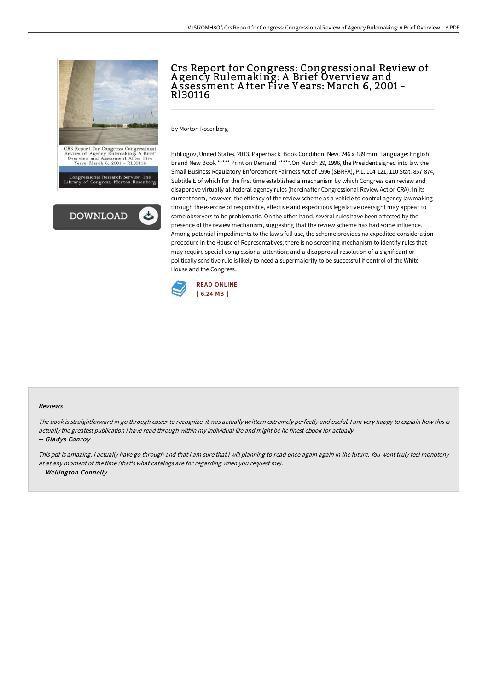



# Crs Report for Congress: Congressional Review of A gency Rulemaking: A Brief Overview and A ssessment A fter Five Y ears: March 6, 2001 - Rl30116

By Morton Rosenberg

Bibliogov, United States, 2013. Paperback. Book Condition: New. 246 x 189 mm. Language: English . Brand New Book \*\*\*\*\* Print on Demand \*\*\*\*\*.On March 29, 1996, the President signed into law the Small Business Regulatory Enforcement Fairness Act of 1996 (SBRFA), P.L. 104-121, 110 Stat. 857-874, Subtitle E of which for the first time established a mechanism by which Congress can review and disapprove virtually all federal agency rules (hereinafter Congressional Review Act or CRA). In its current form, however, the efficacy of the review scheme as a vehicle to control agency lawmaking through the exercise of responsible, effective and expeditious legislative oversight may appear to some observers to be problematic. On the other hand, several rules have been affected by the presence of the review mechanism, suggesting that the review scheme has had some influence. Among potential impediments to the law s full use, the scheme provides no expedited consideration procedure in the House of Representatives; there is no screening mechanism to identify rules that may require special congressional attention; and a disapproval resolution of a significant or politically sensitive rule is likely to need a supermajority to be successful if control of the White House and the Congress...



#### Reviews

The book is straightforward in go through easier to recognize. it was actually writtern extremely perfectly and useful. <sup>I</sup> am very happy to explain how this is actually the greatest publication i have read through within my individual life and might be he finest ebook for actually.

### -- Gladys Conroy

This pdf is amazing. I actually have go through and that i am sure that i will planning to read once again again in the future. You wont truly feel monotony at at any moment of the time (that's what catalogs are for regarding when you request me). -- Wellington Connelly